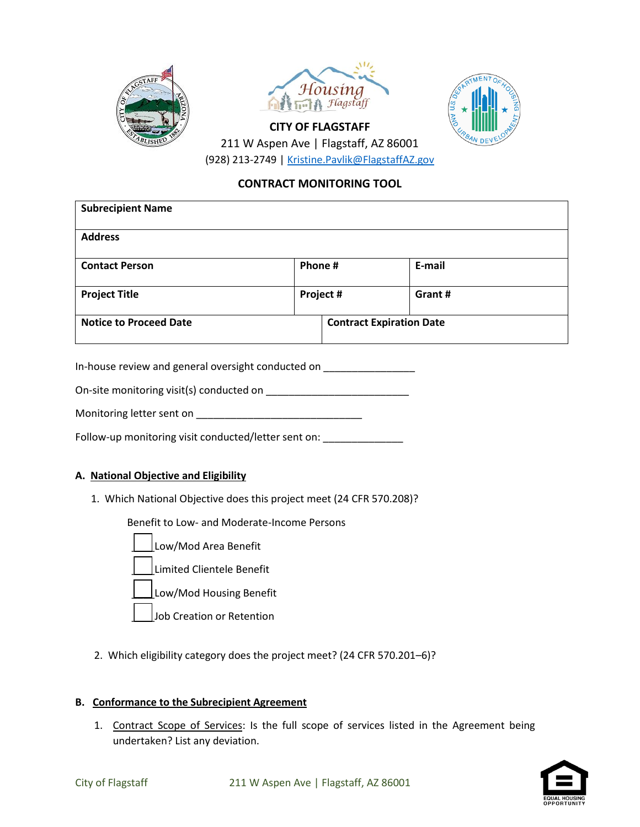





211 W Aspen Ave | Flagstaff, AZ 86001 (928) 213-2749 | Kristine.Pavlik@FlagstaffAZ.gov

**CITY OF FLAGSTAFF**

## **CONTRACT MONITORING TOOL**

| <b>Subrecipient Name</b>      |           |                                 |        |  |
|-------------------------------|-----------|---------------------------------|--------|--|
| <b>Address</b>                |           |                                 |        |  |
| <b>Contact Person</b>         | Phone #   |                                 | E-mail |  |
| <b>Project Title</b>          | Project # |                                 | Grant# |  |
| <b>Notice to Proceed Date</b> |           | <b>Contract Expiration Date</b> |        |  |

In-house review and general oversight conducted on \_\_\_\_\_\_\_\_\_\_\_\_\_\_\_\_\_\_\_\_\_\_\_\_\_\_\_\_\_

On-site monitoring visit(s) conducted on \_\_\_\_\_\_\_\_\_\_\_\_\_\_\_\_\_\_\_\_\_\_\_\_\_

Monitoring letter sent on \_\_\_\_\_\_\_\_\_\_\_\_\_\_\_\_\_\_\_\_\_\_\_\_\_\_\_\_\_

Follow-up monitoring visit conducted/letter sent on:

#### **A. National Objective and Eligibility**

1. Which National Objective does this project meet (24 CFR 570.208)?

Benefit to Low- and Moderate-Income Persons

- \_\_\_\_Low/Mod Area Benefit \_\_\_\_Limited Clientele Benefit Low/Mod Housing Benefit Job Creation or Retention
- 2. Which eligibility category does the project meet? (24 CFR 570.201–6)?

#### **B. Conformance to the Subrecipient Agreement**

1. Contract Scope of Services: Is the full scope of services listed in the Agreement being undertaken? List any deviation.

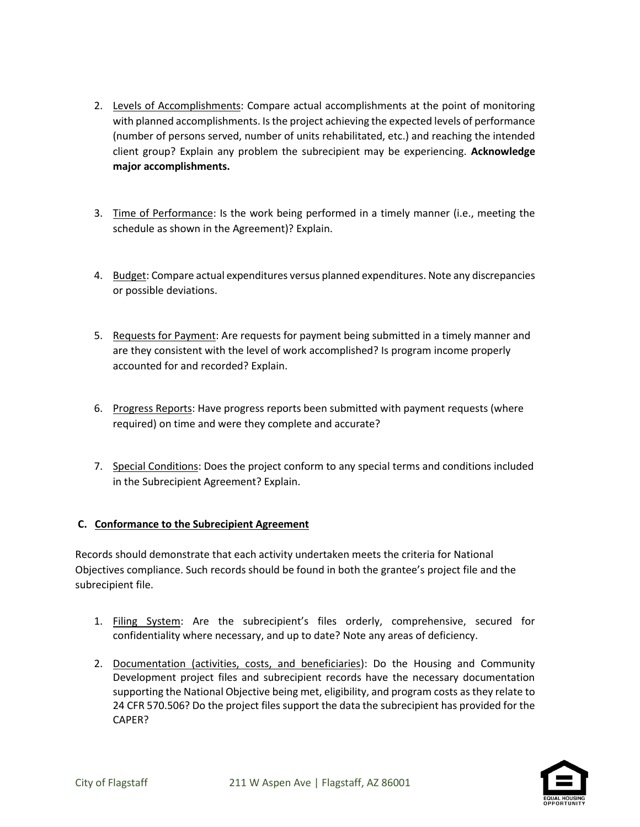- 2. Levels of Accomplishments: Compare actual accomplishments at the point of monitoring with planned accomplishments. Is the project achieving the expected levels of performance (number of persons served, number of units rehabilitated, etc.) and reaching the intended client group? Explain any problem the subrecipient may be experiencing. **Acknowledge major accomplishments.**
- 3. Time of Performance: Is the work being performed in a timely manner (i.e., meeting the schedule as shown in the Agreement)? Explain.
- 4. Budget: Compare actual expenditures versus planned expenditures. Note any discrepancies or possible deviations.
- 5. Requests for Payment: Are requests for payment being submitted in a timely manner and are they consistent with the level of work accomplished? Is program income properly accounted for and recorded? Explain.
- 6. Progress Reports: Have progress reports been submitted with payment requests (where required) on time and were they complete and accurate?
- 7. Special Conditions: Does the project conform to any special terms and conditions included in the Subrecipient Agreement? Explain.

## **C. Conformance to the Subrecipient Agreement**

Records should demonstrate that each activity undertaken meets the criteria for National Objectives compliance. Such records should be found in both the grantee's project file and the subrecipient file.

- 1. Filing System: Are the subrecipient's files orderly, comprehensive, secured for confidentiality where necessary, and up to date? Note any areas of deficiency.
- 2. Documentation (activities, costs, and beneficiaries): Do the Housing and Community Development project files and subrecipient records have the necessary documentation supporting the National Objective being met, eligibility, and program costs as they relate to 24 CFR 570.506? Do the project files support the data the subrecipient has provided for the CAPER?

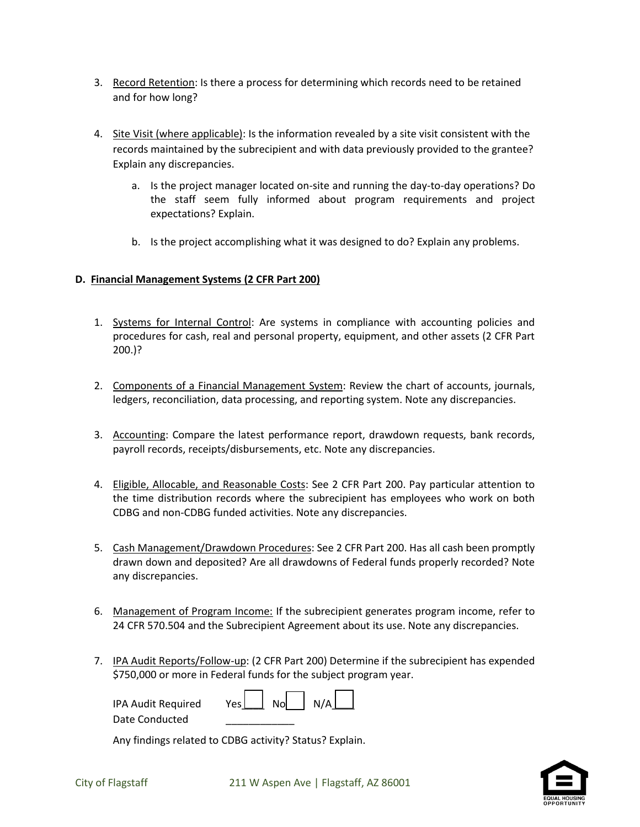- 3. Record Retention: Is there a process for determining which records need to be retained and for how long?
- 4. Site Visit (where applicable): Is the information revealed by a site visit consistent with the records maintained by the subrecipient and with data previously provided to the grantee? Explain any discrepancies.
	- a. Is the project manager located on-site and running the day-to-day operations? Do the staff seem fully informed about program requirements and project expectations? Explain.
	- b. Is the project accomplishing what it was designed to do? Explain any problems.

## **D. Financial Management Systems (2 CFR Part 200)**

- 1. Systems for Internal Control: Are systems in compliance with accounting policies and procedures for cash, real and personal property, equipment, and other assets (2 CFR Part 200.)?
- 2. Components of a Financial Management System: Review the chart of accounts, journals, ledgers, reconciliation, data processing, and reporting system. Note any discrepancies.
- 3. Accounting: Compare the latest performance report, drawdown requests, bank records, payroll records, receipts/disbursements, etc. Note any discrepancies.
- 4. Eligible, Allocable, and Reasonable Costs: See 2 CFR Part 200. Pay particular attention to the time distribution records where the subrecipient has employees who work on both CDBG and non-CDBG funded activities. Note any discrepancies.
- 5. Cash Management/Drawdown Procedures: See 2 CFR Part 200. Has all cash been promptly drawn down and deposited? Are all drawdowns of Federal funds properly recorded? Note any discrepancies.
- 6. Management of Program Income: If the subrecipient generates program income, refer to 24 CFR 570.504 and the Subrecipient Agreement about its use. Note any discrepancies.
- 7. IPA Audit Reports/Follow-up: (2 CFR Part 200) Determine if the subrecipient has expended \$750,000 or more in Federal funds for the subject program year.

| IPA Audit Required | $Yes \t\nNo \t\nN/A \t\n$ |  |
|--------------------|---------------------------|--|
| Date Conducted     |                           |  |

Any findings related to CDBG activity? Status? Explain.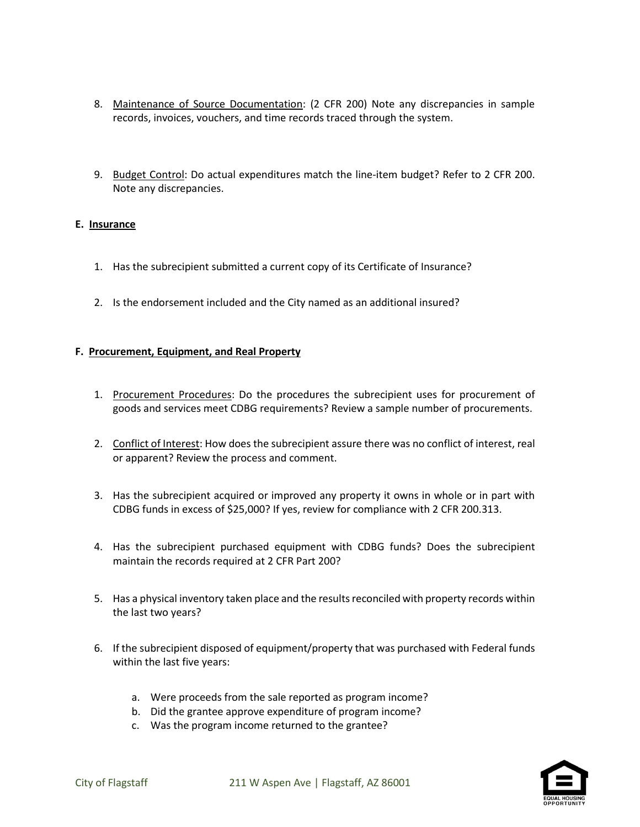- 8. Maintenance of Source Documentation: (2 CFR 200) Note any discrepancies in sample records, invoices, vouchers, and time records traced through the system.
- 9. Budget Control: Do actual expenditures match the line-item budget? Refer to 2 CFR 200. Note any discrepancies.

#### **E. Insurance**

- 1. Has the subrecipient submitted a current copy of its Certificate of Insurance?
- 2. Is the endorsement included and the City named as an additional insured?

#### **F. Procurement, Equipment, and Real Property**

- 1. Procurement Procedures: Do the procedures the subrecipient uses for procurement of goods and services meet CDBG requirements? Review a sample number of procurements.
- 2. Conflict of Interest: How does the subrecipient assure there was no conflict of interest, real or apparent? Review the process and comment.
- 3. Has the subrecipient acquired or improved any property it owns in whole or in part with CDBG funds in excess of \$25,000? If yes, review for compliance with 2 CFR 200.313.
- 4. Has the subrecipient purchased equipment with CDBG funds? Does the subrecipient maintain the records required at 2 CFR Part 200?
- 5. Has a physical inventory taken place and the results reconciled with property records within the last two years?
- 6. If the subrecipient disposed of equipment/property that was purchased with Federal funds within the last five years:
	- a. Were proceeds from the sale reported as program income?
	- b. Did the grantee approve expenditure of program income?
	- c. Was the program income returned to the grantee?